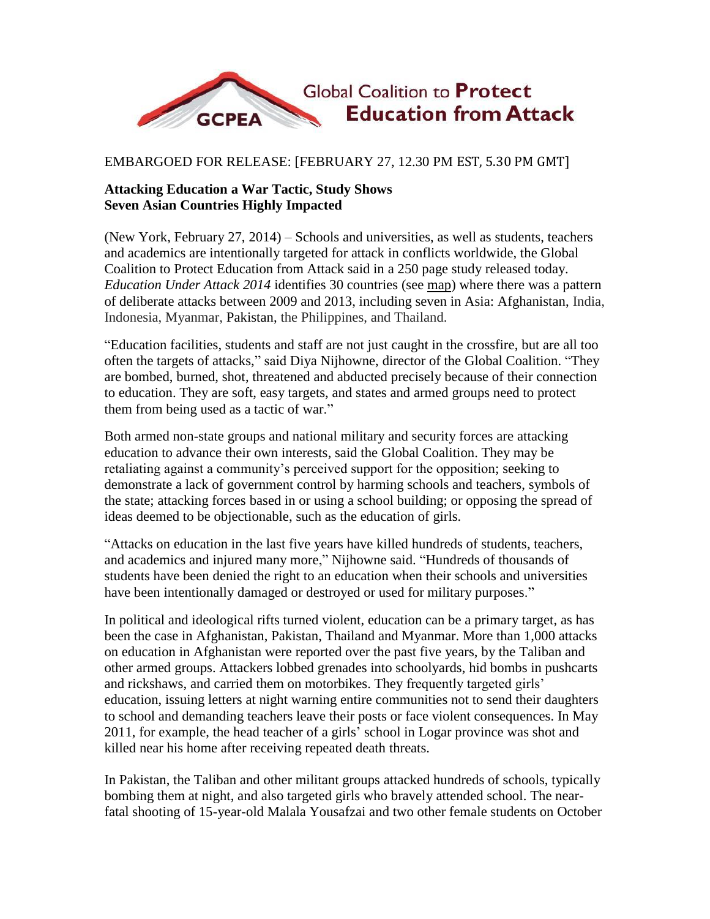

## EMBARGOED FOR RELEASE: [FEBRUARY 27, 12.30 PM EST, 5.30 PM GMT]

## **Attacking Education a War Tactic, Study Shows Seven Asian Countries Highly Impacted**

(New York, February 27, 2014) – Schools and universities, as well as students, teachers and academics are intentionally targeted for attack in conflicts worldwide, the Global Coalition to Protect Education from Attack said in a 250 page study released today. *Education Under Attack 2014* identifies 30 countries (see map) where there was a pattern of deliberate attacks between 2009 and 2013, including seven in Asia: Afghanistan, India, Indonesia, Myanmar, Pakistan, the Philippines, and Thailand.

"Education facilities, students and staff are not just caught in the crossfire, but are all too often the targets of attacks," said Diya Nijhowne, director of the Global Coalition. "They are bombed, burned, shot, threatened and abducted precisely because of their connection to education. They are soft, easy targets, and states and armed groups need to protect them from being used as a tactic of war."

Both armed non-state groups and national military and security forces are attacking education to advance their own interests, said the Global Coalition. They may be retaliating against a community's perceived support for the opposition; seeking to demonstrate a lack of government control by harming schools and teachers, symbols of the state; attacking forces based in or using a school building; or opposing the spread of ideas deemed to be objectionable, such as the education of girls.

"Attacks on education in the last five years have killed hundreds of students, teachers, and academics and injured many more," Nijhowne said. "Hundreds of thousands of students have been denied the right to an education when their schools and universities have been intentionally damaged or destroyed or used for military purposes."

In political and ideological rifts turned violent, education can be a primary target, as has been the case in Afghanistan, Pakistan, Thailand and Myanmar. More than 1,000 attacks on education in Afghanistan were reported over the past five years, by the Taliban and other armed groups. Attackers lobbed grenades into schoolyards, hid bombs in pushcarts and rickshaws, and carried them on motorbikes. They frequently targeted girls' education, issuing letters at night warning entire communities not to send their daughters to school and demanding teachers leave their posts or face violent consequences. In May 2011, for example, the head teacher of a girls' school in Logar province was shot and killed near his home after receiving repeated death threats.

In Pakistan, the Taliban and other militant groups attacked hundreds of schools, typically bombing them at night, and also targeted girls who bravely attended school. The nearfatal shooting of 15-year-old Malala Yousafzai and two other female students on October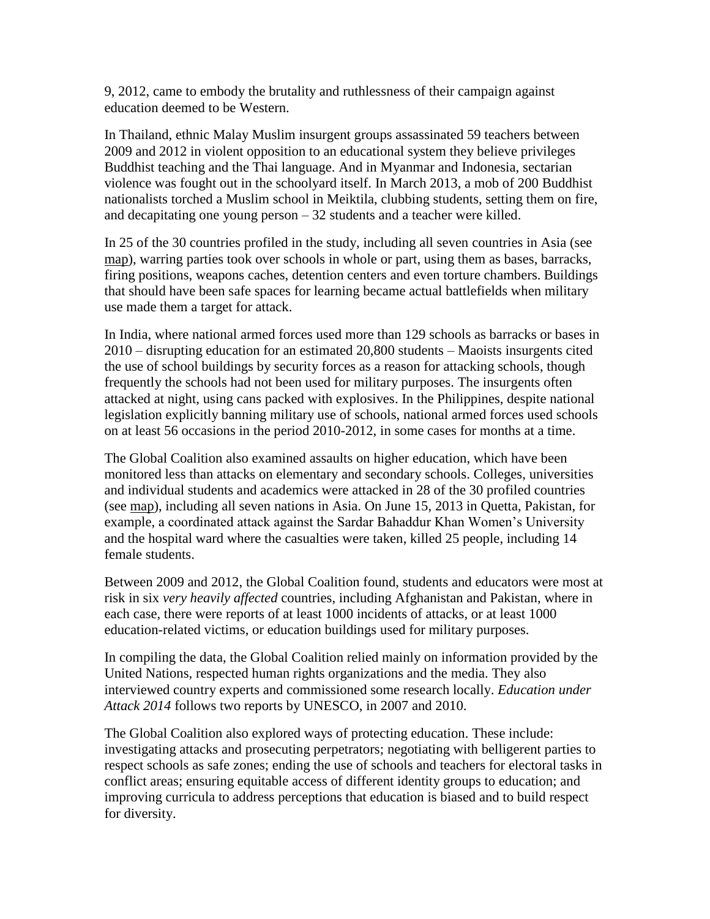9, 2012, came to embody the brutality and ruthlessness of their campaign against education deemed to be Western.

In Thailand, ethnic Malay Muslim insurgent groups assassinated 59 teachers between 2009 and 2012 in violent opposition to an educational system they believe privileges Buddhist teaching and the Thai language. And in Myanmar and Indonesia, sectarian violence was fought out in the schoolyard itself. In March 2013, a mob of 200 Buddhist nationalists torched a Muslim school in Meiktila, clubbing students, setting them on fire, and decapitating one young person – 32 students and a teacher were killed.

In 25 of the 30 countries profiled in the study, including all seven countries in Asia (see map), warring parties took over schools in whole or part, using them as bases, barracks, firing positions, weapons caches, detention centers and even torture chambers. Buildings that should have been safe spaces for learning became actual battlefields when military use made them a target for attack.

In India, where national armed forces used more than 129 schools as barracks or bases in 2010 – disrupting education for an estimated 20,800 students – Maoists insurgents cited the use of school buildings by security forces as a reason for attacking schools, though frequently the schools had not been used for military purposes. The insurgents often attacked at night, using cans packed with explosives. In the Philippines, despite national legislation explicitly banning military use of schools, national armed forces used schools on at least 56 occasions in the period 2010-2012, in some cases for months at a time.

The Global Coalition also examined assaults on higher education, which have been monitored less than attacks on elementary and secondary schools. Colleges, universities and individual students and academics were attacked in 28 of the 30 profiled countries (see map), including all seven nations in Asia. On June 15, 2013 in Quetta, Pakistan, for example, a coordinated attack against the Sardar Bahaddur Khan Women's University and the hospital ward where the casualties were taken, killed 25 people, including 14 female students.

Between 2009 and 2012, the Global Coalition found, students and educators were most at risk in six *very heavily affected* countries, including Afghanistan and Pakistan, where in each case, there were reports of at least 1000 incidents of attacks, or at least 1000 education-related victims, or education buildings used for military purposes.

In compiling the data, the Global Coalition relied mainly on information provided by the United Nations, respected human rights organizations and the media. They also interviewed country experts and commissioned some research locally. *Education under Attack 2014* follows two reports by UNESCO, in 2007 and 2010.

The Global Coalition also explored ways of protecting education. These include: investigating attacks and prosecuting perpetrators; negotiating with belligerent parties to respect schools as safe zones; ending the use of schools and teachers for electoral tasks in conflict areas; ensuring equitable access of different identity groups to education; and improving curricula to address perceptions that education is biased and to build respect for diversity.